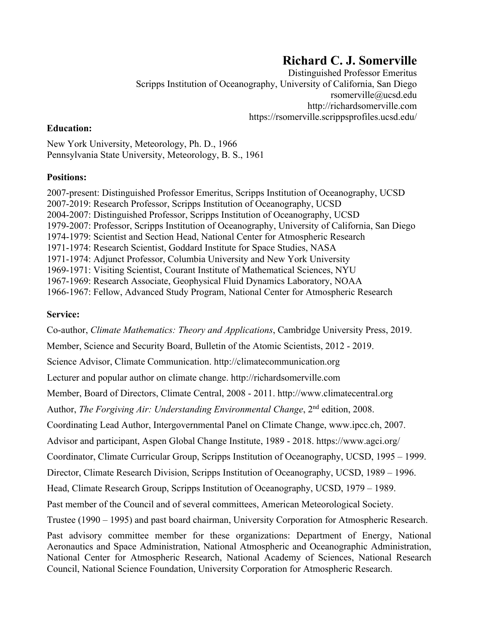# **Richard C. J. Somerville**

Distinguished Professor Emeritus Scripps Institution of Oceanography, University of California, San Diego rsomerville@ucsd.edu http://richardsomerville.com https://rsomerville.scrippsprofiles.ucsd.edu/

#### **Education:**

New York University, Meteorology, Ph. D., 1966 Pennsylvania State University, Meteorology, B. S., 1961

#### **Positions:**

2007-present: Distinguished Professor Emeritus, Scripps Institution of Oceanography, UCSD 2007-2019: Research Professor, Scripps Institution of Oceanography, UCSD 2004-2007: Distinguished Professor, Scripps Institution of Oceanography, UCSD 1979-2007: Professor, Scripps Institution of Oceanography, University of California, San Diego 1974-1979: Scientist and Section Head, National Center for Atmospheric Research 1971-1974: Research Scientist, Goddard Institute for Space Studies, NASA 1971-1974: Adjunct Professor, Columbia University and New York University 1969-1971: Visiting Scientist, Courant Institute of Mathematical Sciences, NYU 1967-1969: Research Associate, Geophysical Fluid Dynamics Laboratory, NOAA 1966-1967: Fellow, Advanced Study Program, National Center for Atmospheric Research

## **Service:**

Co-author, *Climate Mathematics: Theory and Applications*, Cambridge University Press, 2019.

Member, Science and Security Board, Bulletin of the Atomic Scientists, 2012 - 2019.

Science Advisor, Climate Communication. http://climatecommunication.org

Lecturer and popular author on climate change. http://richardsomerville.com

Member, Board of Directors, Climate Central, 2008 - 2011. http://www.climatecentral.org

Author, *The Forgiving Air: Understanding Environmental Change*, 2<sup>nd</sup> edition, 2008.

Coordinating Lead Author, Intergovernmental Panel on Climate Change, www.ipcc.ch, 2007.

Advisor and participant, Aspen Global Change Institute, 1989 - 2018. https://www.agci.org/

Coordinator, Climate Curricular Group, Scripps Institution of Oceanography, UCSD, 1995 – 1999.

Director, Climate Research Division, Scripps Institution of Oceanography, UCSD, 1989 – 1996.

Head, Climate Research Group, Scripps Institution of Oceanography, UCSD, 1979 – 1989.

Past member of the Council and of several committees, American Meteorological Society.

Trustee (1990 – 1995) and past board chairman, University Corporation for Atmospheric Research.

Past advisory committee member for these organizations: Department of Energy, National Aeronautics and Space Administration, National Atmospheric and Oceanographic Administration, National Center for Atmospheric Research, National Academy of Sciences, National Research Council, National Science Foundation, University Corporation for Atmospheric Research.